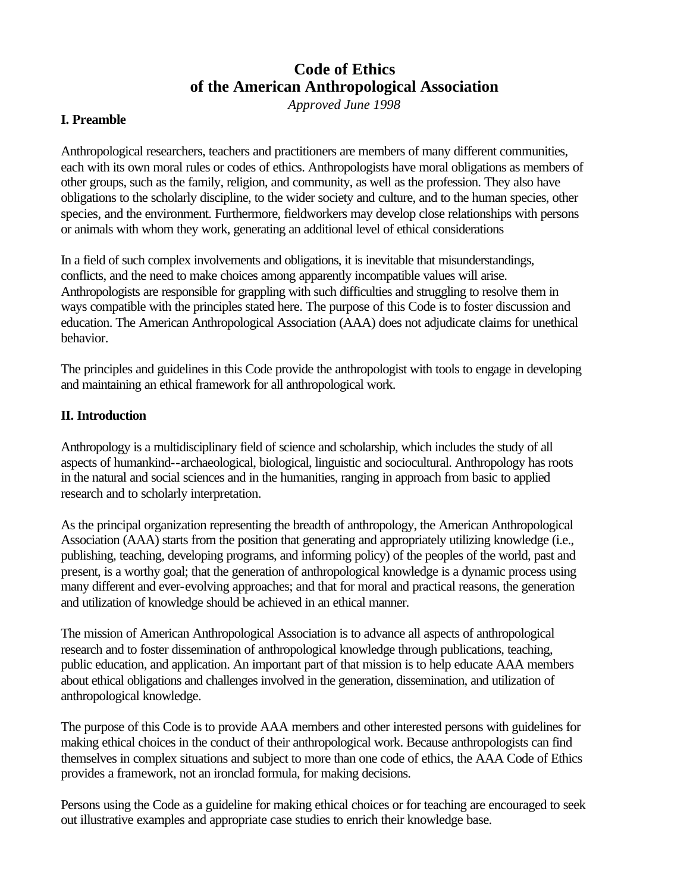# **Code of Ethics of the American Anthropological Association**

*Approved June 1998*

### **I. Preamble**

Anthropological researchers, teachers and practitioners are members of many different communities, each with its own moral rules or codes of ethics. Anthropologists have moral obligations as members of other groups, such as the family, religion, and community, as well as the profession. They also have obligations to the scholarly discipline, to the wider society and culture, and to the human species, other species, and the environment. Furthermore, fieldworkers may develop close relationships with persons or animals with whom they work, generating an additional level of ethical considerations

In a field of such complex involvements and obligations, it is inevitable that misunderstandings, conflicts, and the need to make choices among apparently incompatible values will arise. Anthropologists are responsible for grappling with such difficulties and struggling to resolve them in ways compatible with the principles stated here. The purpose of this Code is to foster discussion and education. The American Anthropological Association (AAA) does not adjudicate claims for unethical behavior.

The principles and guidelines in this Code provide the anthropologist with tools to engage in developing and maintaining an ethical framework for all anthropological work.

## **II. Introduction**

Anthropology is a multidisciplinary field of science and scholarship, which includes the study of all aspects of humankind--archaeological, biological, linguistic and sociocultural. Anthropology has roots in the natural and social sciences and in the humanities, ranging in approach from basic to applied research and to scholarly interpretation.

As the principal organization representing the breadth of anthropology, the American Anthropological Association (AAA) starts from the position that generating and appropriately utilizing knowledge (i.e., publishing, teaching, developing programs, and informing policy) of the peoples of the world, past and present, is a worthy goal; that the generation of anthropological knowledge is a dynamic process using many different and ever-evolving approaches; and that for moral and practical reasons, the generation and utilization of knowledge should be achieved in an ethical manner.

The mission of American Anthropological Association is to advance all aspects of anthropological research and to foster dissemination of anthropological knowledge through publications, teaching, public education, and application. An important part of that mission is to help educate AAA members about ethical obligations and challenges involved in the generation, dissemination, and utilization of anthropological knowledge.

The purpose of this Code is to provide AAA members and other interested persons with guidelines for making ethical choices in the conduct of their anthropological work. Because anthropologists can find themselves in complex situations and subject to more than one code of ethics, the AAA Code of Ethics provides a framework, not an ironclad formula, for making decisions.

Persons using the Code as a guideline for making ethical choices or for teaching are encouraged to seek out illustrative examples and appropriate case studies to enrich their knowledge base.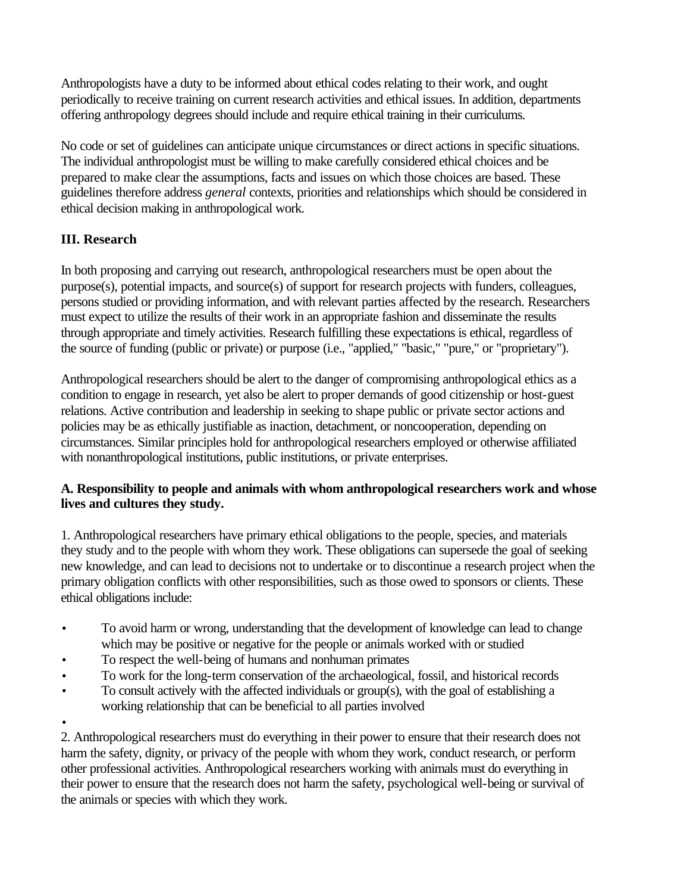Anthropologists have a duty to be informed about ethical codes relating to their work, and ought periodically to receive training on current research activities and ethical issues. In addition, departments offering anthropology degrees should include and require ethical training in their curriculums.

No code or set of guidelines can anticipate unique circumstances or direct actions in specific situations. The individual anthropologist must be willing to make carefully considered ethical choices and be prepared to make clear the assumptions, facts and issues on which those choices are based. These guidelines therefore address *general* contexts, priorities and relationships which should be considered in ethical decision making in anthropological work.

# **III. Research**

In both proposing and carrying out research, anthropological researchers must be open about the purpose(s), potential impacts, and source(s) of support for research projects with funders, colleagues, persons studied or providing information, and with relevant parties affected by the research. Researchers must expect to utilize the results of their work in an appropriate fashion and disseminate the results through appropriate and timely activities. Research fulfilling these expectations is ethical, regardless of the source of funding (public or private) or purpose (i.e., "applied," "basic," "pure," or "proprietary").

Anthropological researchers should be alert to the danger of compromising anthropological ethics as a condition to engage in research, yet also be alert to proper demands of good citizenship or host-guest relations. Active contribution and leadership in seeking to shape public or private sector actions and policies may be as ethically justifiable as inaction, detachment, or noncooperation, depending on circumstances. Similar principles hold for anthropological researchers employed or otherwise affiliated with nonanthropological institutions, public institutions, or private enterprises.

## **A. Responsibility to people and animals with whom anthropological researchers work and whose lives and cultures they study.**

1. Anthropological researchers have primary ethical obligations to the people, species, and materials they study and to the people with whom they work. These obligations can supersede the goal of seeking new knowledge, and can lead to decisions not to undertake or to discontinue a research project when the primary obligation conflicts with other responsibilities, such as those owed to sponsors or clients. These ethical obligations include:

- To avoid harm or wrong, understanding that the development of knowledge can lead to change which may be positive or negative for the people or animals worked with or studied
- To respect the well-being of humans and nonhuman primates
- To work for the long-term conservation of the archaeological, fossil, and historical records
- To consult actively with the affected individuals or group(s), with the goal of establishing a working relationship that can be beneficial to all parties involved
- •

2. Anthropological researchers must do everything in their power to ensure that their research does not harm the safety, dignity, or privacy of the people with whom they work, conduct research, or perform other professional activities. Anthropological researchers working with animals must do everything in their power to ensure that the research does not harm the safety, psychological well-being or survival of the animals or species with which they work.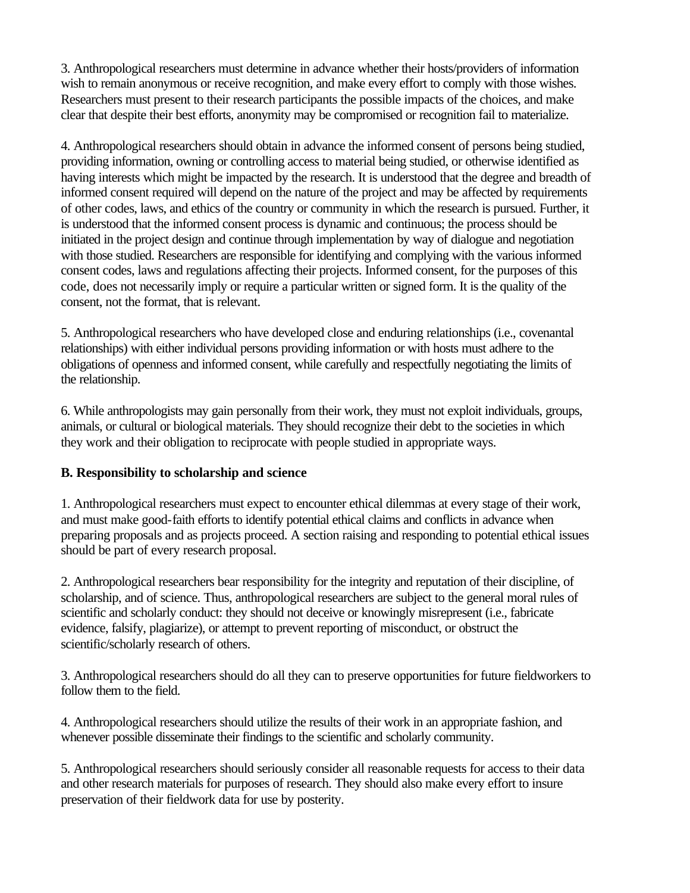3. Anthropological researchers must determine in advance whether their hosts/providers of information wish to remain anonymous or receive recognition, and make every effort to comply with those wishes. Researchers must present to their research participants the possible impacts of the choices, and make clear that despite their best efforts, anonymity may be compromised or recognition fail to materialize.

4. Anthropological researchers should obtain in advance the informed consent of persons being studied, providing information, owning or controlling access to material being studied, or otherwise identified as having interests which might be impacted by the research. It is understood that the degree and breadth of informed consent required will depend on the nature of the project and may be affected by requirements of other codes, laws, and ethics of the country or community in which the research is pursued. Further, it is understood that the informed consent process is dynamic and continuous; the process should be initiated in the project design and continue through implementation by way of dialogue and negotiation with those studied. Researchers are responsible for identifying and complying with the various informed consent codes, laws and regulations affecting their projects. Informed consent, for the purposes of this code, does not necessarily imply or require a particular written or signed form. It is the quality of the consent, not the format, that is relevant.

5. Anthropological researchers who have developed close and enduring relationships (i.e., covenantal relationships) with either individual persons providing information or with hosts must adhere to the obligations of openness and informed consent, while carefully and respectfully negotiating the limits of the relationship.

6. While anthropologists may gain personally from their work, they must not exploit individuals, groups, animals, or cultural or biological materials. They should recognize their debt to the societies in which they work and their obligation to reciprocate with people studied in appropriate ways.

### **B. Responsibility to scholarship and science**

1. Anthropological researchers must expect to encounter ethical dilemmas at every stage of their work, and must make good-faith efforts to identify potential ethical claims and conflicts in advance when preparing proposals and as projects proceed. A section raising and responding to potential ethical issues should be part of every research proposal.

2. Anthropological researchers bear responsibility for the integrity and reputation of their discipline, of scholarship, and of science. Thus, anthropological researchers are subject to the general moral rules of scientific and scholarly conduct: they should not deceive or knowingly misrepresent (i.e., fabricate evidence, falsify, plagiarize), or attempt to prevent reporting of misconduct, or obstruct the scientific/scholarly research of others.

3. Anthropological researchers should do all they can to preserve opportunities for future fieldworkers to follow them to the field.

4. Anthropological researchers should utilize the results of their work in an appropriate fashion, and whenever possible disseminate their findings to the scientific and scholarly community.

5. Anthropological researchers should seriously consider all reasonable requests for access to their data and other research materials for purposes of research. They should also make every effort to insure preservation of their fieldwork data for use by posterity.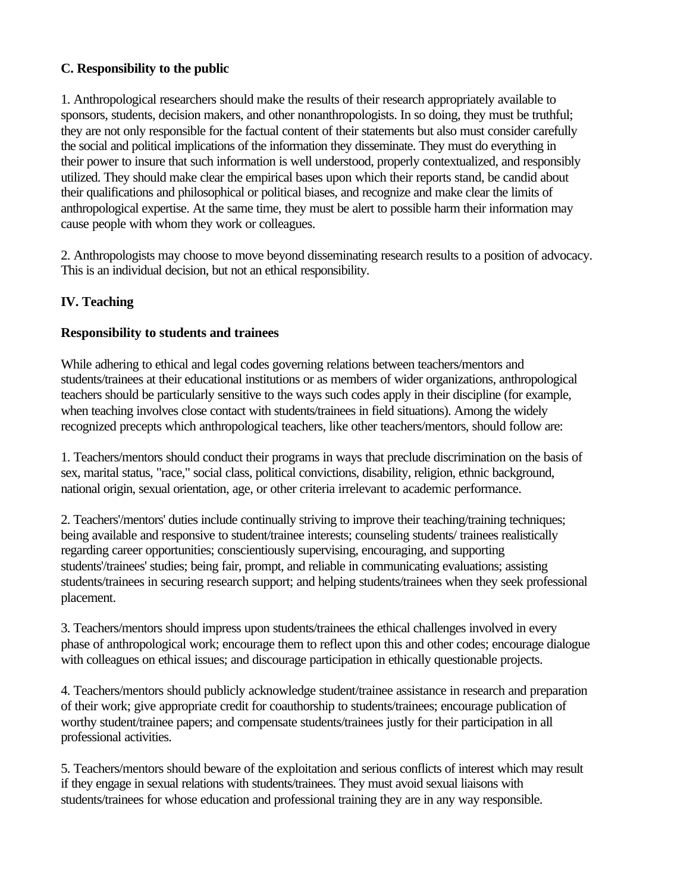## **C. Responsibility to the public**

1. Anthropological researchers should make the results of their research appropriately available to sponsors, students, decision makers, and other nonanthropologists. In so doing, they must be truthful; they are not only responsible for the factual content of their statements but also must consider carefully the social and political implications of the information they disseminate. They must do everything in their power to insure that such information is well understood, properly contextualized, and responsibly utilized. They should make clear the empirical bases upon which their reports stand, be candid about their qualifications and philosophical or political biases, and recognize and make clear the limits of anthropological expertise. At the same time, they must be alert to possible harm their information may cause people with whom they work or colleagues.

2. Anthropologists may choose to move beyond disseminating research results to a position of advocacy. This is an individual decision, but not an ethical responsibility.

## **IV. Teaching**

#### **Responsibility to students and trainees**

While adhering to ethical and legal codes governing relations between teachers/mentors and students/trainees at their educational institutions or as members of wider organizations, anthropological teachers should be particularly sensitive to the ways such codes apply in their discipline (for example, when teaching involves close contact with students/trainees in field situations). Among the widely recognized precepts which anthropological teachers, like other teachers/mentors, should follow are:

1. Teachers/mentors should conduct their programs in ways that preclude discrimination on the basis of sex, marital status, "race," social class, political convictions, disability, religion, ethnic background, national origin, sexual orientation, age, or other criteria irrelevant to academic performance.

2. Teachers'/mentors' duties include continually striving to improve their teaching/training techniques; being available and responsive to student/trainee interests; counseling students/ trainees realistically regarding career opportunities; conscientiously supervising, encouraging, and supporting students'/trainees' studies; being fair, prompt, and reliable in communicating evaluations; assisting students/trainees in securing research support; and helping students/trainees when they seek professional placement.

3. Teachers/mentors should impress upon students/trainees the ethical challenges involved in every phase of anthropological work; encourage them to reflect upon this and other codes; encourage dialogue with colleagues on ethical issues; and discourage participation in ethically questionable projects.

4. Teachers/mentors should publicly acknowledge student/trainee assistance in research and preparation of their work; give appropriate credit for coauthorship to students/trainees; encourage publication of worthy student/trainee papers; and compensate students/trainees justly for their participation in all professional activities.

5. Teachers/mentors should beware of the exploitation and serious conflicts of interest which may result if they engage in sexual relations with students/trainees. They must avoid sexual liaisons with students/trainees for whose education and professional training they are in any way responsible.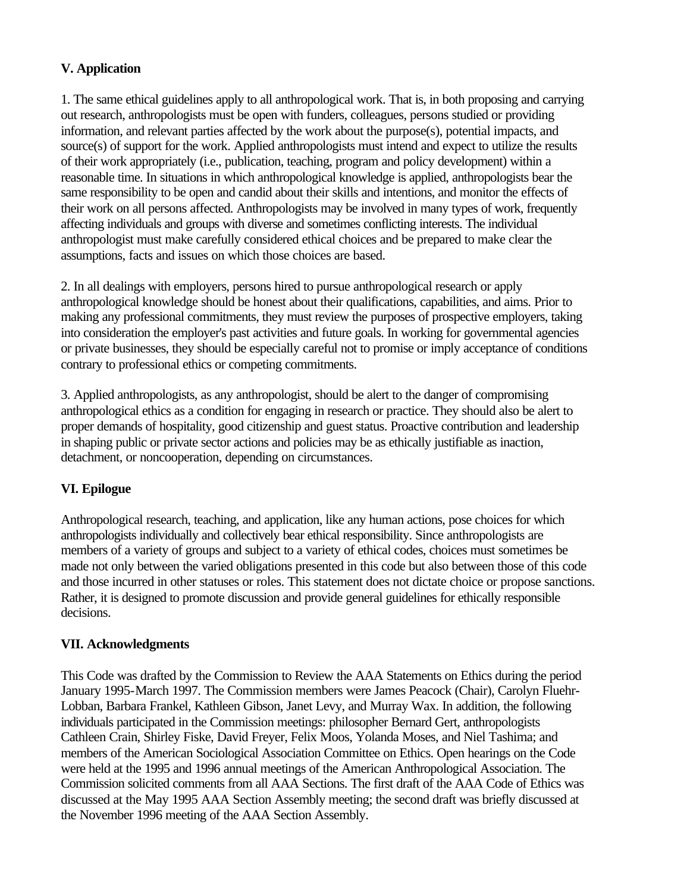# **V. Application**

1. The same ethical guidelines apply to all anthropological work. That is, in both proposing and carrying out research, anthropologists must be open with funders, colleagues, persons studied or providing information, and relevant parties affected by the work about the purpose(s), potential impacts, and source(s) of support for the work. Applied anthropologists must intend and expect to utilize the results of their work appropriately (i.e., publication, teaching, program and policy development) within a reasonable time. In situations in which anthropological knowledge is applied, anthropologists bear the same responsibility to be open and candid about their skills and intentions, and monitor the effects of their work on all persons affected. Anthropologists may be involved in many types of work, frequently affecting individuals and groups with diverse and sometimes conflicting interests. The individual anthropologist must make carefully considered ethical choices and be prepared to make clear the assumptions, facts and issues on which those choices are based.

2. In all dealings with employers, persons hired to pursue anthropological research or apply anthropological knowledge should be honest about their qualifications, capabilities, and aims. Prior to making any professional commitments, they must review the purposes of prospective employers, taking into consideration the employer's past activities and future goals. In working for governmental agencies or private businesses, they should be especially careful not to promise or imply acceptance of conditions contrary to professional ethics or competing commitments.

3. Applied anthropologists, as any anthropologist, should be alert to the danger of compromising anthropological ethics as a condition for engaging in research or practice. They should also be alert to proper demands of hospitality, good citizenship and guest status. Proactive contribution and leadership in shaping public or private sector actions and policies may be as ethically justifiable as inaction, detachment, or noncooperation, depending on circumstances.

### **VI. Epilogue**

Anthropological research, teaching, and application, like any human actions, pose choices for which anthropologists individually and collectively bear ethical responsibility. Since anthropologists are members of a variety of groups and subject to a variety of ethical codes, choices must sometimes be made not only between the varied obligations presented in this code but also between those of this code and those incurred in other statuses or roles. This statement does not dictate choice or propose sanctions. Rather, it is designed to promote discussion and provide general guidelines for ethically responsible decisions.

### **VII. Acknowledgments**

This Code was drafted by the Commission to Review the AAA Statements on Ethics during the period January 1995-March 1997. The Commission members were James Peacock (Chair), Carolyn Fluehr-Lobban, Barbara Frankel, Kathleen Gibson, Janet Levy, and Murray Wax. In addition, the following individuals participated in the Commission meetings: philosopher Bernard Gert, anthropologists Cathleen Crain, Shirley Fiske, David Freyer, Felix Moos, Yolanda Moses, and Niel Tashima; and members of the American Sociological Association Committee on Ethics. Open hearings on the Code were held at the 1995 and 1996 annual meetings of the American Anthropological Association. The Commission solicited comments from all AAA Sections. The first draft of the AAA Code of Ethics was discussed at the May 1995 AAA Section Assembly meeting; the second draft was briefly discussed at the November 1996 meeting of the AAA Section Assembly.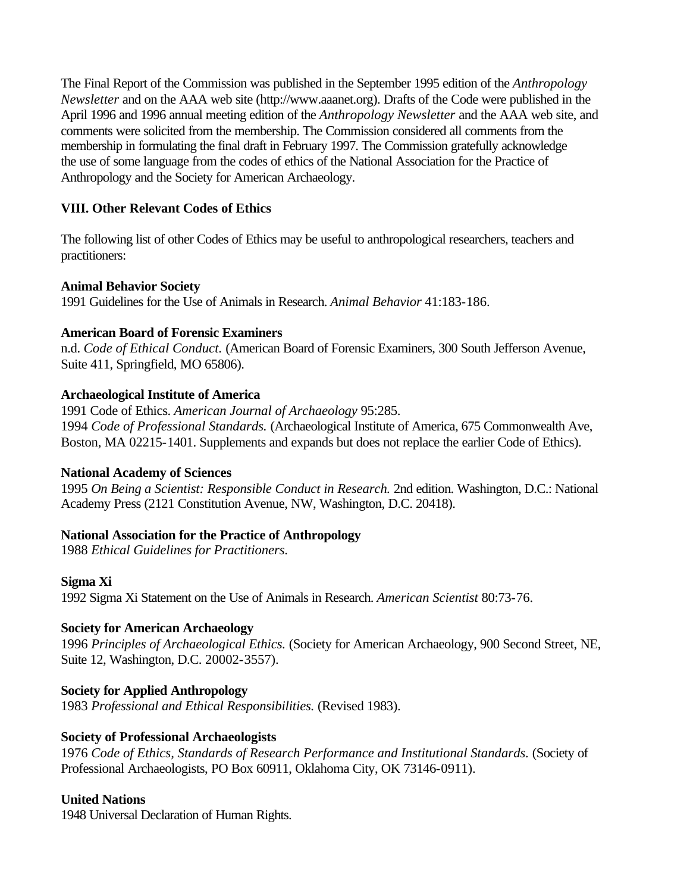The Final Report of the Commission was published in the September 1995 edition of the *Anthropology Newsletter* and on the AAA web site (http://www.aaanet.org). Drafts of the Code were published in the April 1996 and 1996 annual meeting edition of the *Anthropology Newsletter* and the AAA web site, and comments were solicited from the membership. The Commission considered all comments from the membership in formulating the final draft in February 1997. The Commission gratefully acknowledge the use of some language from the codes of ethics of the National Association for the Practice of Anthropology and the Society for American Archaeology.

## **VIII. Other Relevant Codes of Ethics**

The following list of other Codes of Ethics may be useful to anthropological researchers, teachers and practitioners:

#### **Animal Behavior Society**

1991 Guidelines for the Use of Animals in Research. *Animal Behavior* 41:183-186.

#### **American Board of Forensic Examiners**

n.d. *Code of Ethical Conduct.* (American Board of Forensic Examiners, 300 South Jefferson Avenue, Suite 411, Springfield, MO 65806).

### **Archaeological Institute of America**

1991 Code of Ethics. *American Journal of Archaeology* 95:285. 1994 *Code of Professional Standards.* (Archaeological Institute of America, 675 Commonwealth Ave, Boston, MA 02215-1401. Supplements and expands but does not replace the earlier Code of Ethics).

### **National Academy of Sciences**

1995 *On Being a Scientist: Responsible Conduct in Research.* 2nd edition. Washington, D.C.: National Academy Press (2121 Constitution Avenue, NW, Washington, D.C. 20418).

### **National Association for the Practice of Anthropology**

1988 *Ethical Guidelines for Practitioners.*

#### **Sigma Xi**

1992 Sigma Xi Statement on the Use of Animals in Research. *American Scientist* 80:73-76.

#### **Society for American Archaeology**

1996 *Principles of Archaeological Ethics.* (Society for American Archaeology, 900 Second Street, NE, Suite 12, Washington, D.C. 20002-3557).

### **Society for Applied Anthropology**

1983 *Professional and Ethical Responsibilities.* (Revised 1983).

#### **Society of Professional Archaeologists**

1976 *Code of Ethics, Standards of Research Performance and Institutional Standards.* (Society of Professional Archaeologists, PO Box 60911, Oklahoma City, OK 73146-0911).

### **United Nations**

1948 Universal Declaration of Human Rights.